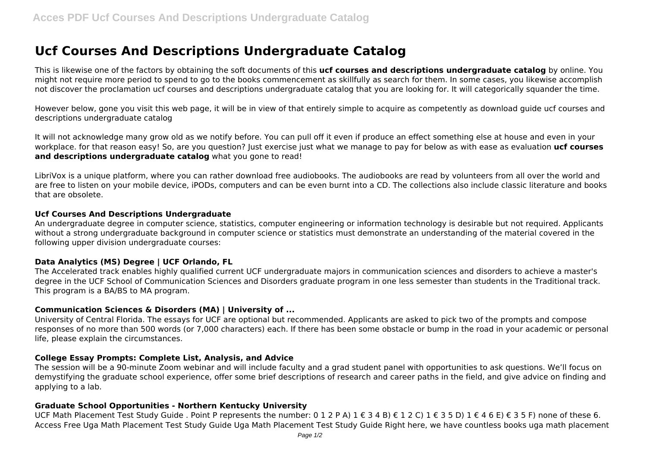# **Ucf Courses And Descriptions Undergraduate Catalog**

This is likewise one of the factors by obtaining the soft documents of this **ucf courses and descriptions undergraduate catalog** by online. You might not require more period to spend to go to the books commencement as skillfully as search for them. In some cases, you likewise accomplish not discover the proclamation ucf courses and descriptions undergraduate catalog that you are looking for. It will categorically squander the time.

However below, gone you visit this web page, it will be in view of that entirely simple to acquire as competently as download guide ucf courses and descriptions undergraduate catalog

It will not acknowledge many grow old as we notify before. You can pull off it even if produce an effect something else at house and even in your workplace. for that reason easy! So, are you question? Just exercise just what we manage to pay for below as with ease as evaluation **ucf courses and descriptions undergraduate catalog** what you gone to read!

LibriVox is a unique platform, where you can rather download free audiobooks. The audiobooks are read by volunteers from all over the world and are free to listen on your mobile device, iPODs, computers and can be even burnt into a CD. The collections also include classic literature and books that are obsolete.

### **Ucf Courses And Descriptions Undergraduate**

An undergraduate degree in computer science, statistics, computer engineering or information technology is desirable but not required. Applicants without a strong undergraduate background in computer science or statistics must demonstrate an understanding of the material covered in the following upper division undergraduate courses:

## **Data Analytics (MS) Degree | UCF Orlando, FL**

The Accelerated track enables highly qualified current UCF undergraduate majors in communication sciences and disorders to achieve a master's degree in the UCF School of Communication Sciences and Disorders graduate program in one less semester than students in the Traditional track. This program is a BA/BS to MA program.

## **Communication Sciences & Disorders (MA) | University of ...**

University of Central Florida. The essays for UCF are optional but recommended. Applicants are asked to pick two of the prompts and compose responses of no more than 500 words (or 7,000 characters) each. If there has been some obstacle or bump in the road in your academic or personal life, please explain the circumstances.

### **College Essay Prompts: Complete List, Analysis, and Advice**

The session will be a 90-minute Zoom webinar and will include faculty and a grad student panel with opportunities to ask questions. We'll focus on demystifying the graduate school experience, offer some brief descriptions of research and career paths in the field, and give advice on finding and applying to a lab.

### **Graduate School Opportunities - Northern Kentucky University**

UCF Math Placement Test Study Guide . Point P represents the number: 0 1 2 P A) 1 € 3 4 B) € 1 2 C) 1 € 3 5 D) 1 € 4 6 E) € 3 5 F) none of these 6. Access Free Uga Math Placement Test Study Guide Uga Math Placement Test Study Guide Right here, we have countless books uga math placement